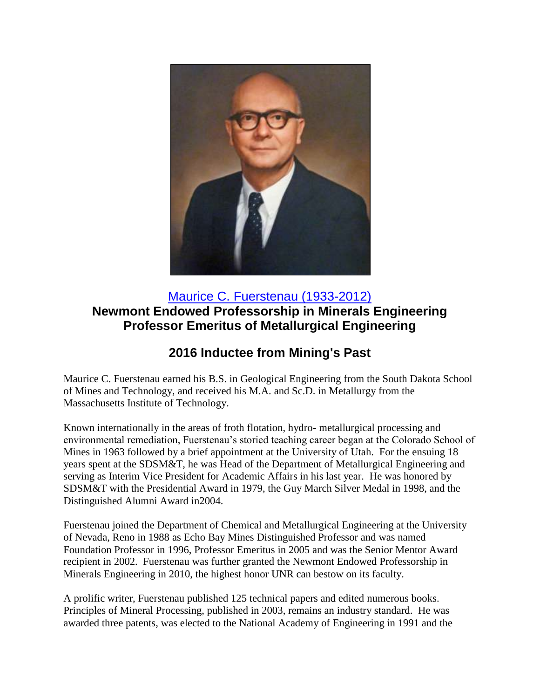

## [Maurice C. Fuerstenau \(1933-2012\)](https://youtu.be/XflyFA4f8tE) **Newmont Endowed Professorship in Minerals Engineering Professor Emeritus of Metallurgical Engineering**

## **2016 Inductee from Mining's Past**

Maurice C. Fuerstenau earned his B.S. in Geological Engineering from the South Dakota School of Mines and Technology, and received his M.A. and Sc.D. in Metallurgy from the Massachusetts Institute of Technology.

Known internationally in the areas of froth flotation, hydro- metallurgical processing and environmental remediation, Fuerstenau's storied teaching career began at the Colorado School of Mines in 1963 followed by a brief appointment at the University of Utah. For the ensuing 18 years spent at the SDSM&T, he was Head of the Department of Metallurgical Engineering and serving as Interim Vice President for Academic Affairs in his last year. He was honored by SDSM&T with the Presidential Award in 1979, the Guy March Silver Medal in 1998, and the Distinguished Alumni Award in2004.

Fuerstenau joined the Department of Chemical and Metallurgical Engineering at the University of Nevada, Reno in 1988 as Echo Bay Mines Distinguished Professor and was named Foundation Professor in 1996, Professor Emeritus in 2005 and was the Senior Mentor Award recipient in 2002. Fuerstenau was further granted the Newmont Endowed Professorship in Minerals Engineering in 2010, the highest honor UNR can bestow on its faculty.

A prolific writer, Fuerstenau published 125 technical papers and edited numerous books. Principles of Mineral Processing, published in 2003, remains an industry standard. He was awarded three patents, was elected to the National Academy of Engineering in 1991 and the